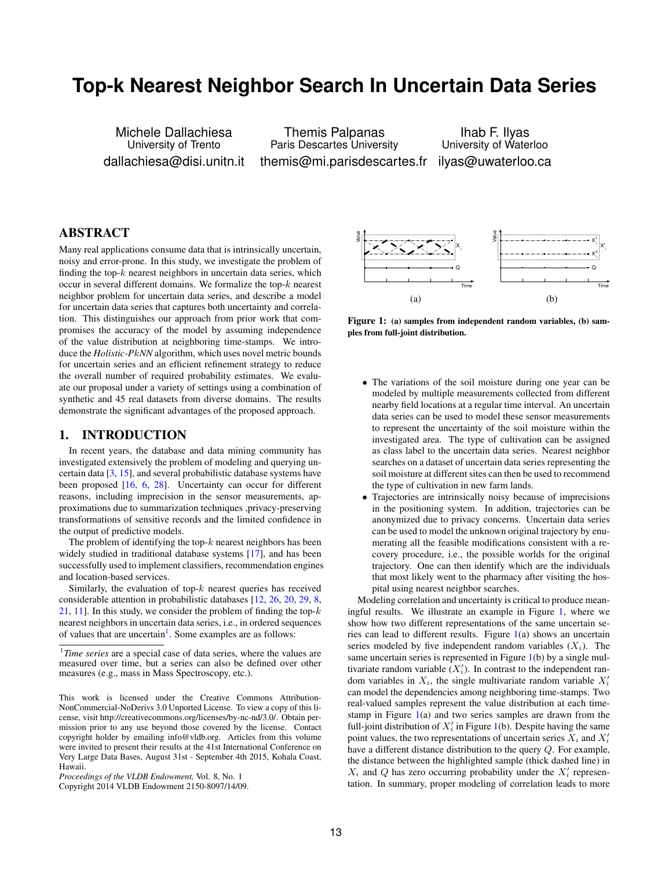# **Top-k Nearest Neighbor Search In Uncertain Data Series**

Michele Dallachiesa University of Trento dallachiesa@disi.unitn.it

Themis Palpanas Paris Descartes University themis@mi.parisdescartes.fr

Ihab F. Ilyas University of Waterloo ilyas@uwaterloo.ca

# ABSTRACT

Many real applications consume data that is intrinsically uncertain, noisy and error-prone. In this study, we investigate the problem of finding the top- $k$  nearest neighbors in uncertain data series, which occur in several different domains. We formalize the top-k nearest neighbor problem for uncertain data series, and describe a model for uncertain data series that captures both uncertainty and correlation. This distinguishes our approach from prior work that compromises the accuracy of the model by assuming independence of the value distribution at neighboring time-stamps. We introduce the *Holistic-P*k*NN* algorithm, which uses novel metric bounds for uncertain series and an efficient refinement strategy to reduce the overall number of required probability estimates. We evaluate our proposal under a variety of settings using a combination of synthetic and 45 real datasets from diverse domains. The results demonstrate the significant advantages of the proposed approach.

# 1. INTRODUCTION

In recent years, the database and data mining community has investigated extensively the problem of modeling and querying uncertain data  $[3, 15]$ , and several probabilistic database systems have been proposed [16, 6, 28]. Uncertainty can occur for different reasons, including imprecision in the sensor measurements, approximations due to summarization techniques ,privacy-preserving transformations of sensitive records and the limited confidence in the output of predictive models.

The problem of identifying the top- $k$  nearest neighbors has been widely studied in traditional database systems [17], and has been successfully used to implement classifiers, recommendation engines and location-based services.

Similarly, the evaluation of top- $k$  nearest queries has received considerable attention in probabilistic databases [12, 26, 20, 29, 8, 21, 11]. In this study, we consider the problem of finding the top- $k$ nearest neighbors in uncertain data series, i.e., in ordered sequences of values that are uncertain<sup>1</sup>. Some examples are as follows:



Figure 1: (a) samples from independent random variables, (b) samples from full-joint distribution.

- The variations of the soil moisture during one year can be modeled by multiple measurements collected from different nearby field locations at a regular time interval. An uncertain data series can be used to model these sensor measurements to represent the uncertainty of the soil moisture within the investigated area. The type of cultivation can be assigned as class label to the uncertain data series. Nearest neighbor searches on a dataset of uncertain data series representing the soil moisture at different sites can then be used to recommend the type of cultivation in new farm lands.
- Trajectories are intrinsically noisy because of imprecisions in the positioning system. In addition, trajectories can be anonymized due to privacy concerns. Uncertain data series can be used to model the unknown original trajectory by enumerating all the feasible modifications consistent with a recovery procedure, i.e., the possible worlds for the original trajectory. One can then identify which are the individuals that most likely went to the pharmacy after visiting the hospital using nearest neighbor searches.

Modeling correlation and uncertainty is critical to produce meaningful results. We illustrate an example in Figure 1, where we show how two different representations of the same uncertain series can lead to different results. Figure 1(a) shows an uncertain series modeled by five independent random variables  $(X_i)$ . The same uncertain series is represented in Figure 1(b) by a single multivariate random variable  $(X'_i)$ . In contrast to the independent random variables in  $X_i$ , the single multivariate random variable  $X'_i$ can model the dependencies among neighboring time-stamps. Two real-valued samples represent the value distribution at each timestamp in Figure 1(a) and two series samples are drawn from the full-joint distribution of  $X'_i$  in Figure 1(b). Despite having the same point values, the two representations of uncertain series  $X_i$  and  $X'_i$ have a different distance distribution to the query Q. For example, the distance between the highlighted sample (thick dashed line) in  $X_i$  and  $Q$  has zero occurring probability under the  $X'_i$  representation. In summary, proper modeling of correlation leads to more

<sup>1</sup> *Time series* are a special case of data series, where the values are measured over time, but a series can also be defined over other measures (e.g., mass in Mass Spectroscopy, etc.).

This work is licensed under the Creative Commons Attribution-NonCommercial-NoDerivs 3.0 Unported License. To view a copy of this license, visit http://creativecommons.org/licenses/by-nc-nd/3.0/. Obtain permission prior to any use beyond those covered by the license. Contact copyright holder by emailing info@vldb.org. Articles from this volume were invited to present their results at the 41st International Conference on Very Large Data Bases, August 31st - September 4th 2015, Kohala Coast, Hawaii.

*Proceedings of the VLDB Endowment,* Vol. 8, No. 1

Copyright 2014 VLDB Endowment 2150-8097/14/09.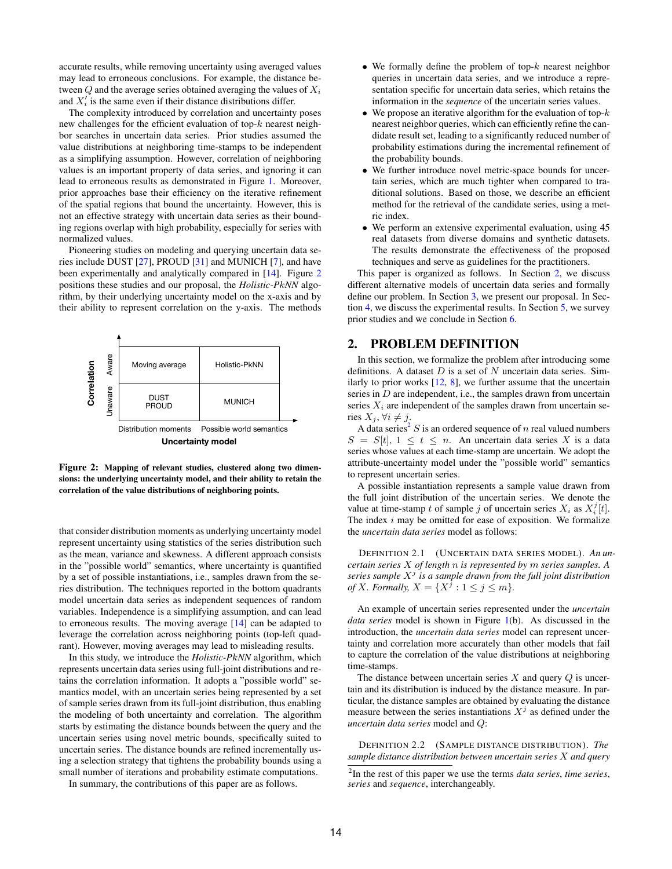accurate results, while removing uncertainty using averaged values may lead to erroneous conclusions. For example, the distance between  $Q$  and the average series obtained averaging the values of  $X_i$ and  $X_i'$  is the same even if their distance distributions differ.

The complexity introduced by correlation and uncertainty poses new challenges for the efficient evaluation of top- $k$  nearest neighbor searches in uncertain data series. Prior studies assumed the value distributions at neighboring time-stamps to be independent as a simplifying assumption. However, correlation of neighboring values is an important property of data series, and ignoring it can lead to erroneous results as demonstrated in Figure 1. Moreover, prior approaches base their efficiency on the iterative refinement of the spatial regions that bound the uncertainty. However, this is not an effective strategy with uncertain data series as their bounding regions overlap with high probability, especially for series with normalized values.

Pioneering studies on modeling and querying uncertain data series include DUST [27], PROUD [31] and MUNICH [7], and have been experimentally and analytically compared in [14]. Figure 2 positions these studies and our proposal, the *Holistic-P*k*NN* algorithm, by their underlying uncertainty model on the x-axis and by their ability to represent correlation on the y-axis. The methods



Figure 2: Mapping of relevant studies, clustered along two dimensions: the underlying uncertainty model, and their ability to retain the correlation of the value distributions of neighboring points.

that consider distribution moments as underlying uncertainty model represent uncertainty using statistics of the series distribution such as the mean, variance and skewness. A different approach consists in the "possible world" semantics, where uncertainty is quantified by a set of possible instantiations, i.e., samples drawn from the series distribution. The techniques reported in the bottom quadrants model uncertain data series as independent sequences of random variables. Independence is a simplifying assumption, and can lead to erroneous results. The moving average [14] can be adapted to leverage the correlation across neighboring points (top-left quadrant). However, moving averages may lead to misleading results.

In this study, we introduce the *Holistic-P*k*NN* algorithm, which represents uncertain data series using full-joint distributions and retains the correlation information. It adopts a "possible world" semantics model, with an uncertain series being represented by a set of sample series drawn from its full-joint distribution, thus enabling the modeling of both uncertainty and correlation. The algorithm starts by estimating the distance bounds between the query and the uncertain series using novel metric bounds, specifically suited to uncertain series. The distance bounds are refined incrementally using a selection strategy that tightens the probability bounds using a small number of iterations and probability estimate computations.

In summary, the contributions of this paper are as follows.

- We formally define the problem of top- $k$  nearest neighbor queries in uncertain data series, and we introduce a representation specific for uncertain data series, which retains the information in the *sequence* of the uncertain series values.
- We propose an iterative algorithm for the evaluation of top- $k$ nearest neighbor queries, which can efficiently refine the candidate result set, leading to a significantly reduced number of probability estimations during the incremental refinement of the probability bounds.
- We further introduce novel metric-space bounds for uncertain series, which are much tighter when compared to traditional solutions. Based on those, we describe an efficient method for the retrieval of the candidate series, using a metric index.
- We perform an extensive experimental evaluation, using 45 real datasets from diverse domains and synthetic datasets. The results demonstrate the effectiveness of the proposed techniques and serve as guidelines for the practitioners.

This paper is organized as follows. In Section 2, we discuss different alternative models of uncertain data series and formally define our problem. In Section 3, we present our proposal. In Section 4, we discuss the experimental results. In Section 5, we survey prior studies and we conclude in Section 6.

# 2. PROBLEM DEFINITION

In this section, we formalize the problem after introducing some definitions. A dataset  $D$  is a set of  $N$  uncertain data series. Similarly to prior works  $[12, 8]$ , we further assume that the uncertain series in  $D$  are independent, i.e., the samples drawn from uncertain series  $X_i$  are independent of the samples drawn from uncertain series  $X_j$ ,  $\forall i \neq j$ .

A data series<sup>2</sup> S is an ordered sequence of n real valued numbers  $S = S[t], 1 \le t \le n$ . An uncertain data series X is a data series whose values at each time-stamp are uncertain. We adopt the attribute-uncertainty model under the "possible world" semantics to represent uncertain series.

A possible instantiation represents a sample value drawn from the full joint distribution of the uncertain series. We denote the value at time-stamp t of sample j of uncertain series  $X_i$  as  $X_i^j[t]$ . The index  $i$  may be omitted for ease of exposition. We formalize the *uncertain data series* model as follows:

DEFINITION 2.1 (UNCERTAIN DATA SERIES MODEL). *An uncertain series* X *of length* n *is represented by* m *series samples. A* series sample  $X^j$  is a sample drawn from the full joint distribution *of X. Formally,*  $X = \{X^j : 1 \le j \le m\}.$ 

An example of uncertain series represented under the *uncertain data series* model is shown in Figure 1(b). As discussed in the introduction, the *uncertain data series* model can represent uncertainty and correlation more accurately than other models that fail to capture the correlation of the value distributions at neighboring time-stamps.

The distance between uncertain series  $X$  and query  $Q$  is uncertain and its distribution is induced by the distance measure. In particular, the distance samples are obtained by evaluating the distance measure between the series instantiations  $X^j$  as defined under the *uncertain data series* model and Q:

DEFINITION 2.2 (SAMPLE DISTANCE DISTRIBUTION). *The sample distance distribution between uncertain series* X *and query*

<sup>2</sup> In the rest of this paper we use the terms *data series*, *time series*, *series* and *sequence*, interchangeably.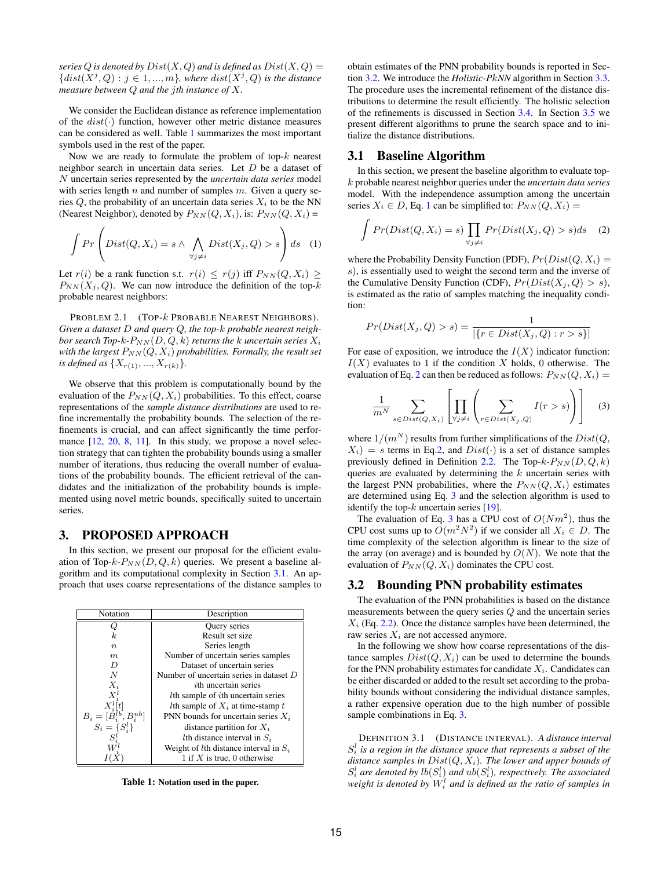*series*  $Q$  *is denoted by*  $Dist(X, Q)$  *and is defined as*  $Dist(X, Q)$  =  ${dist(X^j, Q) : j \in 1, ..., m}$ , where  $dist(X^j, Q)$  is the distance *measure between* Q *and the* j*th instance of* X*.*

We consider the Euclidean distance as reference implementation of the  $dist(\cdot)$  function, however other metric distance measures can be considered as well. Table 1 summarizes the most important symbols used in the rest of the paper.

Now we are ready to formulate the problem of top- $k$  nearest neighbor search in uncertain data series. Let D be a dataset of N uncertain series represented by the *uncertain data series* model with series length  $n$  and number of samples  $m$ . Given a query series  $Q$ , the probability of an uncertain data series  $X_i$  to be the NN (Nearest Neighbor), denoted by  $P_{NN}(Q, X_i)$ , is:  $P_{NN}(Q, X_i)$  =

$$
\int Pr\left(Dist(Q, X_i) = s \land \bigwedge_{\forall j \neq i} Dist(X_j, Q) > s\right) ds \quad (1)
$$

Let  $r(i)$  be a rank function s.t.  $r(i) \leq r(j)$  iff  $P_{NN}(Q, X_i) \geq$  $P_{NN}(X_j, Q)$ . We can now introduce the definition of the top-k probable nearest neighbors:

PROBLEM 2.1 (TOP- $k$  PROBABLE NEAREST NEIGHBORS). *Given a dataset* D *and query* Q*, the top-*k *probable nearest neighbor search Top-k-* $P_{NN}(D, Q, k)$  *returns the k uncertain series*  $X_i$ *with the largest*  $P_{NN}(Q, X_i)$  *probabilities. Formally, the result set is defined as*  $\{X_{r(1)}, ..., X_{r(k)}\}.$ 

We observe that this problem is computationally bound by the evaluation of the  $P_{NN}(Q, X_i)$  probabilities. To this effect, coarse representations of the *sample distance distributions* are used to refine incrementally the probability bounds. The selection of the refinements is crucial, and can affect significantly the time performance  $[12, 20, 8, 11]$ . In this study, we propose a novel selection strategy that can tighten the probability bounds using a smaller number of iterations, thus reducing the overall number of evaluations of the probability bounds. The efficient retrieval of the candidates and the initialization of the probability bounds is implemented using novel metric bounds, specifically suited to uncertain series.

## 3. PROPOSED APPROACH

In this section, we present our proposal for the efficient evaluation of Top- $k-P_{NN}(D, Q, k)$  queries. We present a baseline algorithm and its computational complexity in Section 3.1. An approach that uses coarse representations of the distance samples to

| Notation                                                | Description                                        |
|---------------------------------------------------------|----------------------------------------------------|
|                                                         | Query series                                       |
| k.                                                      | Result set size                                    |
| $\boldsymbol{n}$                                        | Series length                                      |
| m                                                       | Number of uncertain series samples                 |
| $\prime$                                                | Dataset of uncertain series                        |
| N                                                       | Number of uncertain series in dataset $D$          |
| $X_i$                                                   | <i>i</i> th uncertain series                       |
|                                                         | <i>l</i> th sample of <i>i</i> th uncertain series |
|                                                         | <i>l</i> th sample of $X_i$ at time-stamp t        |
| $B_i = [\dot{B}_i^{lb}, B_i^{ub}]$<br>$S_i = \{S_i^l\}$ | PNN bounds for uncertain series $X_i$              |
|                                                         | distance partition for $X_i$                       |
|                                                         | <i>l</i> th distance interval in $S_i$             |
|                                                         | Weight of lth distance interval in $S_i$           |
|                                                         | 1 if X is true, 0 otherwise                        |

Table 1: Notation used in the paper.

obtain estimates of the PNN probability bounds is reported in Section 3.2. We introduce the *Holistic-P*k*NN* algorithm in Section 3.3. The procedure uses the incremental refinement of the distance distributions to determine the result efficiently. The holistic selection of the refinements is discussed in Section 3.4. In Section 3.5 we present different algorithms to prune the search space and to initialize the distance distributions.

#### 3.1 Baseline Algorithm

In this section, we present the baseline algorithm to evaluate topk probable nearest neighbor queries under the *uncertain data series* model. With the independence assumption among the uncertain series  $X_i \in D$ , Eq. 1 can be simplified to:  $P_{NN}(Q, X_i) =$ 

$$
\int Pr(Dist(Q, X_i) = s) \prod_{\forall j \neq i} Pr(Dist(X_j, Q) > s) ds \quad (2)
$$

where the Probability Density Function (PDF),  $Pr(Dist(Q, X_i) =$ s), is essentially used to weight the second term and the inverse of the Cumulative Density Function (CDF),  $Pr(Dist(X_i, Q) > s)$ , is estimated as the ratio of samples matching the inequality condition:

$$
Pr(Dist(X_j, Q) > s) = \frac{1}{|\{r \in Dist(X_j, Q) : r > s\}|}
$$

For ease of exposition, we introduce the  $I(X)$  indicator function:  $I(X)$  evaluates to 1 if the condition X holds, 0 otherwise. The evaluation of Eq. 2 can then be reduced as follows:  $P_{NN}(Q, X_i) =$ 

$$
\frac{1}{m^N} \sum_{s \in Dist(Q, X_i)} \left[ \prod_{\forall j \neq i} \left( \sum_{r \in Dist(X_j, Q)} I(r > s) \right) \right] \tag{3}
$$

where  $1/(m^N)$  results from further simplifications of the  $Dist(Q,$  $X_i$ ) = s terms in Eq.2, and  $Dist(\cdot)$  is a set of distance samples previously defined in Definition 2.2. The Top- $k$ - $P_{NN}(D, Q, k)$ queries are evaluated by determining the  $k$  uncertain series with the largest PNN probabilities, where the  $P_{NN}(Q, X_i)$  estimates are determined using Eq. 3 and the selection algorithm is used to identify the top- $k$  uncertain series [19].

The evaluation of Eq. 3 has a CPU cost of  $O(Nm^2)$ , thus the CPU cost sums up to  $O(m^2 N^2)$  if we consider all  $X_i \in D$ . The time complexity of the selection algorithm is linear to the size of the array (on average) and is bounded by  $O(N)$ . We note that the evaluation of  $P_{NN}(Q, X_i)$  dominates the CPU cost.

# 3.2 Bounding PNN probability estimates

The evaluation of the PNN probabilities is based on the distance measurements between the query series Q and the uncertain series  $X_i$  (Eq. 2.2). Once the distance samples have been determined, the raw series  $X_i$  are not accessed anymore.

In the following we show how coarse representations of the distance samples  $Dist(Q, X_i)$  can be used to determine the bounds for the PNN probability estimates for candidate  $X_i$ . Candidates can be either discarded or added to the result set according to the probability bounds without considering the individual distance samples, a rather expensive operation due to the high number of possible sample combinations in Eq. 3.

DEFINITION 3.1 (DISTANCE INTERVAL). *A distance interval*  $S_i^l$  is a region in the distance space that represents a subset of the *distance samples in* Dist(Q, Xi)*. The lower and upper bounds of*  $S_i^l$  are denoted by  $lb(S_i^l)$  and  $ub(S_i^l)$ , respectively. The associated weight is denoted by  $W_i^l$  and is defined as the ratio of samples in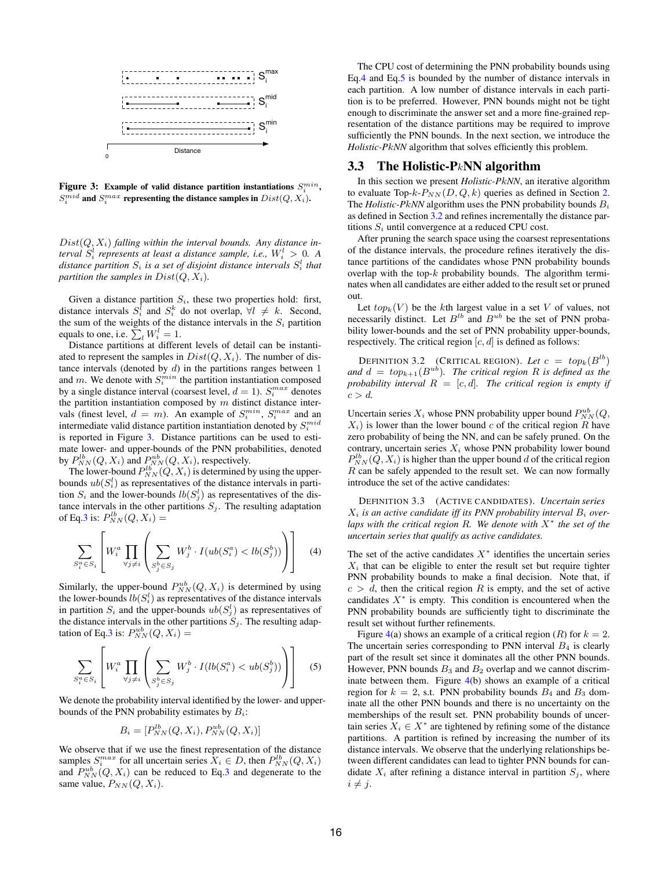

Figure 3: Example of valid distance partition instantiations  $S_i^{min}$ ,  $S_i^{mid}$  and  $S_i^{max}$  representing the distance samples in  $Dist(Q,X_i)$ .

 $Dist(Q, X_i)$  *falling within the interval bounds. Any distance interval*  $S_i^l$  *represents at least a distance sample, i.e.,*  $W_i^l > 0$ . A distance partition  $S_i$  is a set of disjoint distance intervals  $S_i^l$  that *partition the samples in*  $Dist(Q, X_i)$ *.* 

Given a distance partition  $S_i$ , these two properties hold: first, distance intervals  $S_i^{\bar{l}}$  and  $S_i^k$  do not overlap,  $\forall l \neq k$ . Second, the sum of the weights of the distance intervals in the  $S_i$  partition equals to one, i.e.  $\sum_{l} W_{i}^{l} = 1$ .

Distance partitions at different levels of detail can be instantiated to represent the samples in  $Dist(Q, X_i)$ . The number of distance intervals (denoted by  $d$ ) in the partitions ranges between  $1$ and m. We denote with  $S_i^{min}$  the partition instantiation composed by a single distance interval (coarsest level,  $d = 1$ ).  $S_i^{max}$  denotes the partition instantiation composed by  $m$  distinct distance intervals (finest level,  $d = m$ ). An example of  $S_i^{min}$ ,  $S_i^{max}$  and an intermediate valid distance partition instantiation denoted by  $S_i^{mid}$ is reported in Figure 3. Distance partitions can be used to estimate lower- and upper-bounds of the PNN probabilities, denoted by  $P_{NN}^{lb}(Q, X_i)$  and  $P_{NN}^{ub}(Q, X_i)$ , respectively.

The lower-bound  $P_{NN}^{lb}(Q, X_i)$  is determined by using the upperbounds  $ub(S_i^l)$  as representatives of the distance intervals in partition  $S_i$  and the lower-bounds  $lb(S_j^l)$  as representatives of the distance intervals in the other partitions  $S_i$ . The resulting adaptation of Eq.3 is:  $P_{NN}^{lb}(Q, X_i) =$ 

$$
\sum_{S_i^a \in S_i} \left[ W_i^a \prod_{\forall j \neq i} \left( \sum_{S_j^b \in S_j} W_j^b \cdot I(ub(S_i^a) < lb(S_j^b)) \right) \right] \tag{4}
$$

Similarly, the upper-bound  $P_{NN}^{ub}(Q, X_i)$  is determined by using the lower-bounds  $lb(S_i^l)$  as representatives of the distance intervals in partition  $S_i$  and the upper-bounds  $ub(S_j^l)$  as representatives of the distance intervals in the other partitions  $S_i$ . The resulting adaptation of Eq.3 is:  $P_{NN}^{ub}(Q, X_i) =$ 

$$
\sum_{S_i^a \in S_i} \left[ W_i^a \prod_{\forall j \neq i} \left( \sum_{S_j^b \in S_j} W_j^b \cdot I(lb(S_i^a) < ub(S_j^b)) \right) \right] \tag{5}
$$

We denote the probability interval identified by the lower- and upperbounds of the PNN probability estimates by  $B_i$ :

$$
B_i = [P_{NN}^{lb}(Q, X_i), P_{NN}^{ub}(Q, X_i)]
$$

We observe that if we use the finest representation of the distance samples  $S_i^{max}$  for all uncertain series  $X_i \in D$ , then  $P_{NN}^{lb}(Q, X_i)$ and  $P_{NN}^{ub}(Q, X_i)$  can be reduced to Eq.3 and degenerate to the same value,  $P_{NN}(Q, X_i)$ .

The CPU cost of determining the PNN probability bounds using Eq.4 and Eq.5 is bounded by the number of distance intervals in each partition. A low number of distance intervals in each partition is to be preferred. However, PNN bounds might not be tight enough to discriminate the answer set and a more fine-grained representation of the distance partitions may be required to improve sufficiently the PNN bounds. In the next section, we introduce the *Holistic-P*k*NN* algorithm that solves efficiently this problem.

## 3.3 The Holistic-P $kNN$  algorithm

In this section we present *Holistic-P*k*NN*, an iterative algorithm to evaluate Top- $k-P_{NN}(D,Q,k)$  queries as defined in Section 2. The *Holistic-PkNN* algorithm uses the PNN probability bounds  $B_i$ as defined in Section 3.2 and refines incrementally the distance partitions  $S_i$  until convergence at a reduced CPU cost.

After pruning the search space using the coarsest representations of the distance intervals, the procedure refines iteratively the distance partitions of the candidates whose PNN probability bounds overlap with the top- $k$  probability bounds. The algorithm terminates when all candidates are either added to the result set or pruned out.

Let  $top_k(V)$  be the kth largest value in a set V of values, not necessarily distinct. Let  $B^{lb}$  and  $B^{ub}$  be the set of PNN probability lower-bounds and the set of PNN probability upper-bounds, respectively. The critical region  $[c, d]$  is defined as follows:

DEFINITION 3.2 (CRITICAL REGION). Let  $c = top_k(B^{lb})$ and  $d = top_{k+1}(B^{ub})$ *. The critical region* R *is defined as the probability interval*  $R = [c, d]$ *. The critical region is empty if*  $c > d$ .

Uncertain series  $X_i$  whose PNN probability upper bound  $P_{NN}^{ub}(Q,$  $X_i$ ) is lower than the lower bound c of the critical region R have zero probability of being the NN, and can be safely pruned. On the contrary, uncertain series  $X_i$  whose PNN probability lower bound  $P_{NN}^{lb}(Q, X_i)$  is higher than the upper bound d of the critical region R can be safely appended to the result set. We can now formally introduce the set of the active candidates:

DEFINITION 3.3 (ACTIVE CANDIDATES). *Uncertain series*  $X_i$  *is an active candidate iff its PNN probability interval*  $B_i$  *overlaps with the critical region* R*. We denote with* X ∗ *the set of the uncertain series that qualify as active candidates.*

The set of the active candidates  $X^*$  identifies the uncertain series  $X_i$  that can be eligible to enter the result set but require tighter PNN probability bounds to make a final decision. Note that, if  $c > d$ , then the critical region R is empty, and the set of active candidates  $X^*$  is empty. This condition is encountered when the PNN probability bounds are sufficiently tight to discriminate the result set without further refinements.

Figure 4(a) shows an example of a critical region (R) for  $k = 2$ . The uncertain series corresponding to PNN interval  $B_4$  is clearly part of the result set since it dominates all the other PNN bounds. However, PNN bounds  $B_3$  and  $B_2$  overlap and we cannot discriminate between them. Figure 4(b) shows an example of a critical region for  $k = 2$ , s.t. PNN probability bounds  $B_4$  and  $B_3$  dominate all the other PNN bounds and there is no uncertainty on the memberships of the result set. PNN probability bounds of uncertain series  $X_i \in X^*$  are tightened by refining some of the distance partitions. A partition is refined by increasing the number of its distance intervals. We observe that the underlying relationships between different candidates can lead to tighter PNN bounds for candidate  $X_i$  after refining a distance interval in partition  $S_j$ , where  $i \neq j$ .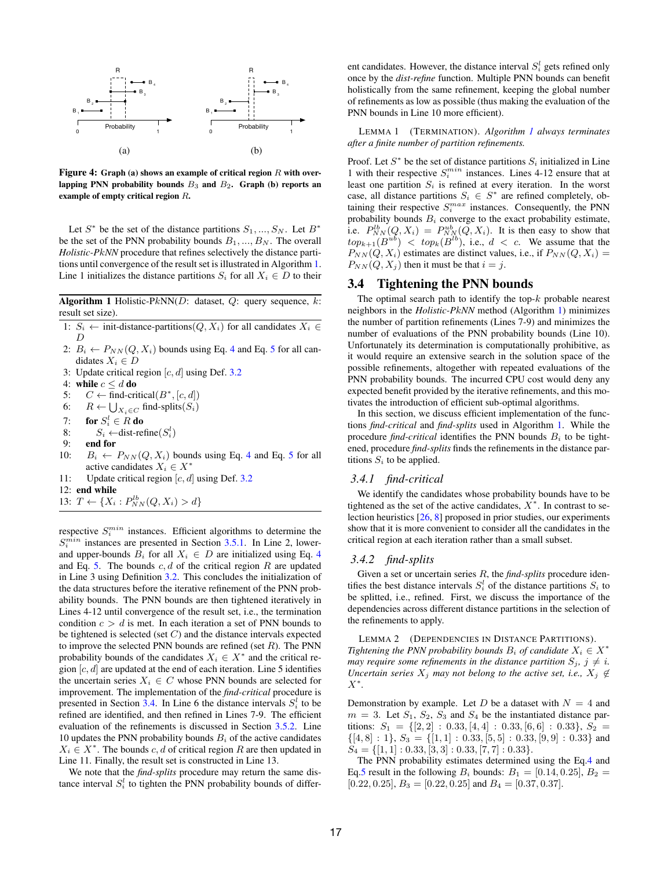

Figure 4: Graph (a) shows an example of critical region  $R$  with overlapping PNN probability bounds  $B_3$  and  $B_2$ . Graph (b) reports an example of empty critical region R.

Let  $S^*$  be the set of the distance partitions  $S_1, ..., S_N$ . Let  $B^*$ be the set of the PNN probability bounds  $B_1, ..., B_N$ . The overall *Holistic-P*k*NN* procedure that refines selectively the distance partitions until convergence of the result set is illustrated in Algorithm 1. Line 1 initializes the distance partitions  $S_i$  for all  $X_i \in D$  to their

**Algorithm 1** Holistic-PkNN(D: dataset, Q: query sequence, k: result set size).

- 1:  $S_i$  ← init-distance-partitions( $Q, X_i$ ) for all candidates  $X_i \in$  $\boldsymbol{D}$
- 2:  $B_i \leftarrow P_{NN}(Q, X_i)$  bounds using Eq. 4 and Eq. 5 for all candidates  $X_i \in D$
- 3: Update critical region  $[c, d]$  using Def. 3.2
- 4: while  $c \leq d$  do
- 5:  $C \leftarrow \text{find-critical}(B^*, [c, d])$
- 6:  $R \leftarrow \bigcup_{X_i \in C}$  find-splits $(S_i)$
- 7: for  $S_i^l \in R$  do
- 8:  $S_i \leftarrow \text{dist-refine}(S_i^l)$
- 9: end for
- 10:  $B_i \leftarrow P_{NN}(Q, X_i)$  bounds using Eq. 4 and Eq. 5 for all active candidates  $X_i \in X^*$
- 11: Update critical region  $[c, d]$  using Def. 3.2
- 12: end while
- 13:  $T \leftarrow \{X_i : P_{NN}^{lb}(Q, X_i) > d\}$

respective  $S_i^{min}$  instances. Efficient algorithms to determine the  $S_i^{min}$  instances are presented in Section 3.5.1. In Line 2, lowerand upper-bounds  $B_i$  for all  $X_i \in D$  are initialized using Eq. 4 and Eq. 5. The bounds  $c, d$  of the critical region R are updated in Line 3 using Definition 3.2. This concludes the initialization of the data structures before the iterative refinement of the PNN probability bounds. The PNN bounds are then tightened iteratively in Lines 4-12 until convergence of the result set, i.e., the termination condition  $c > d$  is met. In each iteration a set of PNN bounds to be tightened is selected (set  $C$ ) and the distance intervals expected to improve the selected PNN bounds are refined (set  $R$ ). The PNN probability bounds of the candidates  $X_i \in X^*$  and the critical region  $[c, d]$  are updated at the end of each iteration. Line 5 identifies the uncertain series  $X_i \in C$  whose PNN bounds are selected for improvement. The implementation of the *find-critical* procedure is presented in Section 3.4. In Line 6 the distance intervals  $S_i^l$  to be refined are identified, and then refined in Lines 7-9. The efficient evaluation of the refinements is discussed in Section 3.5.2. Line 10 updates the PNN probability bounds  $B_i$  of the active candidates  $X_i \in X^*$ . The bounds c, d of critical region R are then updated in Line 11. Finally, the result set is constructed in Line 13.

We note that the *find-splits* procedure may return the same distance interval  $S_i^l$  to tighten the PNN probability bounds of differ-

ent candidates. However, the distance interval  $S_i^l$  gets refined only once by the *dist-refine* function. Multiple PNN bounds can benefit holistically from the same refinement, keeping the global number of refinements as low as possible (thus making the evaluation of the PNN bounds in Line 10 more efficient).

LEMMA 1 (TERMINATION). *Algorithm 1 always terminates after a finite number of partition refinements.*

Proof. Let  $S^*$  be the set of distance partitions  $S_i$  initialized in Line 1 with their respective  $S_i^{min}$  instances. Lines 4-12 ensure that at least one partition  $S_i$  is refined at every iteration. In the worst case, all distance partitions  $S_i \in S^*$  are refined completely, obtaining their respective  $S_i^{max}$  instances. Consequently, the PNN probability bounds  $B_i$  converge to the exact probability estimate, i.e.  $P_{NN}^{lb}(Q, X_i) = P_{NN}^{ub}(Q, X_i)$ . It is then easy to show that  $top_{k+1}(B^{ub})$  <  $top_k(B^{lb})$ , i.e.,  $d \langle c$ . We assume that the  $P_{NN}(Q, X_i)$  estimates are distinct values, i.e., if  $P_{NN}(Q, X_i) =$  $P_{NN}(Q, X_j)$  then it must be that  $i = j$ .

# 3.4 Tightening the PNN bounds

The optimal search path to identify the top- $k$  probable nearest neighbors in the *Holistic-P*k*NN* method (Algorithm 1) minimizes the number of partition refinements (Lines 7-9) and minimizes the number of evaluations of the PNN probability bounds (Line 10). Unfortunately its determination is computationally prohibitive, as it would require an extensive search in the solution space of the possible refinements, altogether with repeated evaluations of the PNN probability bounds. The incurred CPU cost would deny any expected benefit provided by the iterative refinements, and this motivates the introduction of efficient sub-optimal algorithms.

In this section, we discuss efficient implementation of the functions *find-critical* and *find-splits* used in Algorithm 1. While the procedure *find-critical* identifies the PNN bounds  $B_i$  to be tightened, procedure *find-splits* finds the refinements in the distance partitions  $S_i$  to be applied.

#### *3.4.1 find-critical*

We identify the candidates whose probability bounds have to be tightened as the set of the active candidates,  $X^*$ . In contrast to selection heuristics [26, 8] proposed in prior studies, our experiments show that it is more convenient to consider all the candidates in the critical region at each iteration rather than a small subset.

#### *3.4.2 find-splits*

Given a set or uncertain series R, the *find-splits* procedure identifies the best distance intervals  $S_i^l$  of the distance partitions  $S_i$  to be splitted, i.e., refined. First, we discuss the importance of the dependencies across different distance partitions in the selection of the refinements to apply.

LEMMA 2 (DEPENDENCIES IN DISTANCE PARTITIONS). *Tightening the PNN probability bounds*  $B_i$  *of candidate*  $X_i \in X^*$ *may require some refinements in the distance partition*  $S_j$ ,  $j \neq i$ . *Uncertain series*  $X_j$  *may not belong to the active set, i.e.,*  $X_j \notin$ X ∗ *.*

Demonstration by example. Let D be a dataset with  $N = 4$  and  $m = 3$ . Let  $S_1$ ,  $S_2$ ,  $S_3$  and  $S_4$  be the instantiated distance partitions:  $S_1 = \{ [2, 2] : 0.33, [4, 4] : 0.33, [6, 6] : 0.33 \}, S_2 =$  $\{[4, 8] : 1\}, S_3 = \{[1, 1] : 0.33, [5, 5] : 0.33, [9, 9] : 0.33\}$  and  $S_4 = \{ [1, 1] : 0.33, [3, 3] : 0.33, [7, 7] : 0.33 \}.$ 

The PNN probability estimates determined using the Eq.4 and Eq.5 result in the following  $B_i$  bounds:  $B_1 = [0.14, 0.25], B_2 =$  $[0.22, 0.25], B_3 = [0.22, 0.25]$  and  $B_4 = [0.37, 0.37]$ .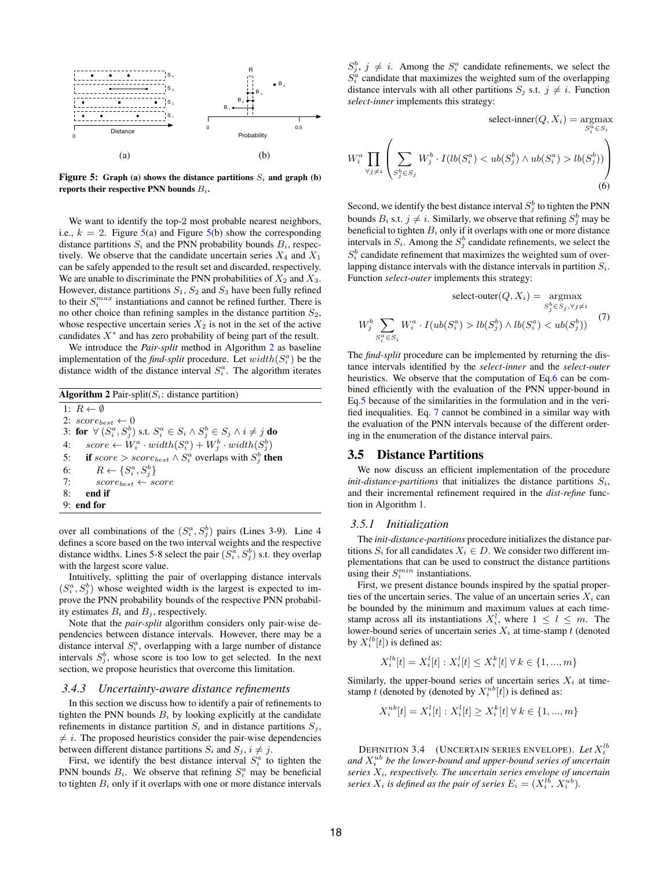

Figure 5: Graph (a) shows the distance partitions  $S_i$  and graph (b) reports their respective PNN bounds  $B_i$ .

We want to identify the top-2 most probable nearest neighbors, i.e.,  $k = 2$ . Figure 5(a) and Figure 5(b) show the corresponding distance partitions  $S_i$  and the PNN probability bounds  $B_i$ , respectively. We observe that the candidate uncertain series  $X_4$  and  $X_1$ can be safely appended to the result set and discarded, respectively. We are unable to discriminate the PNN probabilities of  $X_2$  and  $X_3$ . However, distance partitions  $S_1$ ,  $S_2$  and  $S_3$  have been fully refined to their  $S_i^{max}$  instantiations and cannot be refined further. There is no other choice than refining samples in the distance partition  $S_2$ , whose respective uncertain series  $X_2$  is not in the set of the active candidates  $X^*$  and has zero probability of being part of the result.

We introduce the *Pair-split* method in Algorithm 2 as baseline implementation of the *find-split* procedure. Let  $width(S_i^a)$  be the distance width of the distance interval  $S_i^a$ . The algorithm iterates

**Algorithm 2** Pair-split( $S_i$ : distance partition) 1:  $R \leftarrow \emptyset$ 2:  $score_{best} \leftarrow 0$ 3: for  $\forall (S_i^a, S_j^b)$  s.t.  $S_i^a \in S_i \wedge S_j^b \in S_j \wedge i \neq j$  do 4:  $score \leftarrow W_i^a \cdot width(S_i^a) + W_j^b \cdot width(S_j^b)$ 5: if  $score > score_{best} \wedge S_i^a$  overlaps with  $S_j^b$  then 6:  $R \leftarrow \{S_i^a, S_j^b\}$ 7:  $score_{best} \leftarrow score$ 8: end if 9: end for

over all combinations of the  $(S_i^a, S_j^b)$  pairs (Lines 3-9). Line 4 defines a score based on the two interval weights and the respective distance widths. Lines 5-8 select the pair  $(S_i^a, S_j^b)$  s.t. they overlap with the largest score value.

Intuitively, splitting the pair of overlapping distance intervals  $(S_i^a, S_j^b)$  whose weighted width is the largest is expected to improve the PNN probability bounds of the respective PNN probability estimates  $B_i$  and  $B_j$ , respectively.

Note that the *pair-split* algorithm considers only pair-wise dependencies between distance intervals. However, there may be a distance interval  $S_i^a$ , overlapping with a large number of distance intervals  $S_j^b$ , whose score is too low to get selected. In the next section, we propose heuristics that overcome this limitation.

### *3.4.3 Uncertainty-aware distance refinements*

In this section we discuss how to identify a pair of refinements to tighten the PNN bounds  $B_i$  by looking explicitly at the candidate refinements in distance partition  $S_i$  and in distance partitions  $S_i$ ,  $\neq i$ . The proposed heuristics consider the pair-wise dependencies between different distance partitions  $S_i$  and  $S_j$ ,  $i \neq j$ .

First, we identify the best distance interval  $S_i^a$  to tighten the PNN bounds  $B_i$ . We observe that refining  $S_i^a$  may be beneficial to tighten  $B_i$  only if it overlaps with one or more distance intervals

 $S_j^b$ ,  $j \neq i$ . Among the  $S_i^a$  candidate refinements, we select the  $S_i^{\alpha}$  candidate that maximizes the weighted sum of the overlapping distance intervals with all other partitions  $S_j$  s.t.  $j \neq i$ . Function *select-inner* implements this strategy:

select-inner
$$
(Q, X_i)
$$
 =  $\underset{S_i^a \in S_i}{\text{argmax}}$   
\n
$$
W_i^a \prod_{\forall j \neq i} \left( \sum_{S_j^b \in S_j} W_j^b \cdot I(lb(S_i^a) < ub(S_j^b) \land ub(S_i^a) > lb(S_j^b)) \right) \tag{6}
$$

Second, we identify the best distance interval  $S_j^b$  to tighten the PNN bounds  $B_i$  s.t.  $j \neq i$ . Similarly, we observe that refining  $S_j^b$  may be beneficial to tighten  $B_i$  only if it overlaps with one or more distance intervals in  $S_i$ . Among the  $S_j^b$  candidate refinements, we select the  $S_i^b$  candidate refinement that maximizes the weighted sum of overlapping distance intervals with the distance intervals in partition  $S_i$ . Function *select-outer* implements this strategy:

select-outer
$$
(Q, X_i)
$$
 =  $\operatorname*{argmax}_{S_j^b \in S_j, \forall j \neq i}$   
\n
$$
W_j^b \sum_{S_i^a \in S_i} W_i^a \cdot I(ub(S_i^a) > lb(S_j^b) \land lb(S_i^a) < ub(S_j^b))
$$
\n<sup>(7)</sup>

The *find-split* procedure can be implemented by returning the distance intervals identified by the *select-inner* and the *select-outer* heuristics. We observe that the computation of Eq.6 can be combined efficiently with the evaluation of the PNN upper-bound in Eq.5 because of the similarities in the formulation and in the verified inequalities. Eq. 7 cannot be combined in a similar way with the evaluation of the PNN intervals because of the different ordering in the enumeration of the distance interval pairs.

#### 3.5 Distance Partitions

We now discuss an efficient implementation of the procedure *init-distance-partitions* that initializes the distance partitions  $S_i$ , and their incremental refinement required in the *dist-refine* function in Algorithm 1.

## *3.5.1 Initialization*

The *init-distance-partitions* procedure initializes the distance partitions  $S_i$  for all candidates  $X_i \in D$ . We consider two different implementations that can be used to construct the distance partitions using their  $S_i^{min}$  instantiations.

First, we present distance bounds inspired by the spatial properties of the uncertain series. The value of an uncertain series  $X_i$  can be bounded by the minimum and maximum values at each timestamp across all its instantiations  $X_i^l$ , where  $1 \leq l \leq m$ . The lower-bound series of uncertain series  $X_i$  at time-stamp t (denoted by  $X_i^{lb}[t]$ ) is defined as:

$$
X_i^{lb}[t] = X_i^l[t] : X_i^l[t] \le X_i^k[t] \,\forall \, k \in \{1, ..., m\}
$$

Similarly, the upper-bound series of uncertain series  $X_i$  at timestamp t (denoted by (denoted by  $X_i^{ub}[t]$ ) is defined as: l

$$
X_i^{ub}[t] = X_i^l[t] : X_i^l[t] \ge X_i^k[t] \,\forall \, k \in \{1, ..., m\}
$$

DEFINITION 3.4 (UNCERTAIN SERIES ENVELOPE). Let  $X_i^{lb}$ and  $X_i^{ub}$  be the lower-bound and upper-bound series of uncertain *series* Xi*, respectively. The uncertain series envelope of uncertain* series  $X_i$  is defined as the pair of series  $E_i = (X_i^{lb}, X_i^{ub})$ .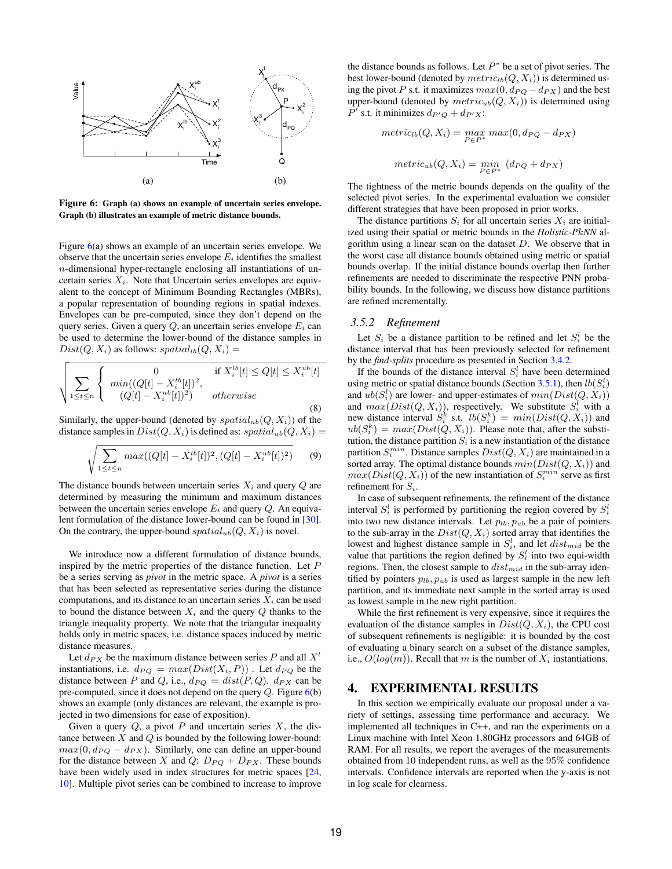

Figure 6: Graph (a) shows an example of uncertain series envelope. Graph (b) illustrates an example of metric distance bounds.

Figure 6(a) shows an example of an uncertain series envelope. We observe that the uncertain series envelope  $E_i$  identifies the smallest n-dimensional hyper-rectangle enclosing all instantiations of uncertain series  $X_i$ . Note that Uncertain series envelopes are equivalent to the concept of Minimum Bounding Rectangles (MBRs), a popular representation of bounding regions in spatial indexes. Envelopes can be pre-computed, since they don't depend on the query series. Given a query  $Q$ , an uncertain series envelope  $E_i$  can be used to determine the lower-bound of the distance samples in  $Dist(Q, X_i)$  as follows:  $spatial_{lb}(Q, X_i) =$ 

$$
\sqrt{\sum_{1 \leq t \leq n} \left\{ \begin{array}{ll} 0 & \text{if } X_i^{lb}[t] \leq Q[t] \leq X_i^{ub}[t] \\ (Q[t] - X_i^{lb}[t])^2) & \text{otherwise} \end{array} \right.}
$$
\n(8)

Similarly, the upper-bound (denoted by  $spatial_{ub}(Q, X_i)$ ) of the distance samples in  $Dist(Q, X_i)$  is defined as:  $spatial_{ub}(Q, X_i)$  =

$$
\sqrt{\sum_{1 \le t \le n} max((Q[t] - X_i^{lb}[t])^2, (Q[t] - X_i^{ub}[t])^2)}
$$
(9)

The distance bounds between uncertain series  $X_i$  and query  $Q$  are determined by measuring the minimum and maximum distances between the uncertain series envelope  $E_i$  and query  $Q$ . An equivalent formulation of the distance lower-bound can be found in [30]. On the contrary, the upper-bound  $spatial_{ub}(Q, X_i)$  is novel.

We introduce now a different formulation of distance bounds, inspired by the metric properties of the distance function. Let P be a series serving as *pivot* in the metric space. A *pivot* is a series that has been selected as representative series during the distance computations, and its distance to an uncertain series  $X_i$  can be used to bound the distance between  $X_i$  and the query  $Q$  thanks to the triangle inequality property. We note that the triangular inequality holds only in metric spaces, i.e. distance spaces induced by metric distance measures.

Let  $d_{PX}$  be the maximum distance between series P and all  $X^l$ instantiations, i.e.  $d_{PQ} = max(Dist(X_i, P))$ . Let  $d_{PQ}$  be the distance between P and Q, i.e.,  $d_{PQ} = dist(P, Q)$ .  $d_{PX}$  can be pre-computed, since it does not depend on the query  $Q$ . Figure  $6(b)$ shows an example (only distances are relevant, the example is projected in two dimensions for ease of exposition).

Given a query  $Q$ , a pivot  $P$  and uncertain series  $X$ , the distance between  $X$  and  $Q$  is bounded by the following lower-bound:  $max(0, d_{PO} - d_{PX})$ . Similarly, one can define an upper-bound for the distance between X and Q:  $D_{PQ} + D_{PX}$ . These bounds have been widely used in index structures for metric spaces [24, 10]. Multiple pivot series can be combined to increase to improve

the distance bounds as follows. Let  $P^*$  be a set of pivot series. The best lower-bound (denoted by  $metric_{lb}(Q, X_i)$ ) is determined using the pivot P s.t. it maximizes  $max(0, d_{PO} - d_{PX})$  and the best upper-bound (denoted by  $metric_{ub}(Q, X_i)$ ) is determined using  $P'$  s.t. it minimizes  $d_{P'Q} + d_{P'X}$ :

$$
metric_{lb}(Q, X_i) = \max_{P \in P^*} max(0, d_{PQ} - d_{PX})
$$

$$
metric_{ub}(Q, X_i) = \min_{P \in P^*} (d_{PQ} + d_{PX})
$$

The tightness of the metric bounds depends on the quality of the selected pivot series. In the experimental evaluation we consider different strategies that have been proposed in prior works.

The distance partitions  $S_i$  for all uncertain series  $X_i$  are initialized using their spatial or metric bounds in the *Holistic-P*k*NN* algorithm using a linear scan on the dataset  $D$ . We observe that in the worst case all distance bounds obtained using metric or spatial bounds overlap. If the initial distance bounds overlap then further refinements are needed to discriminate the respective PNN probability bounds. In the following, we discuss how distance partitions are refined incrementally.

#### *3.5.2 Refinement*

Let  $S_i$  be a distance partition to be refined and let  $S_i^l$  be the distance interval that has been previously selected for refinement by the *find-splits* procedure as presented in Section 3.4.2.

If the bounds of the distance interval  $S_i^l$  have been determined using metric or spatial distance bounds (Section 3.5.1), then  $lb(S_i^l)$ and  $ub(S_i^l)$  are lower- and upper-estimates of  $min(Dist(Q, X_i))$ and  $max(Dist(Q, X_i))$ , respectively. We substitute  $S_i^l$  with a new distance interval  $S_i^k$  s.t.  $lb(S_i^k) = min(Dist(Q, X_i))$  and  $ub(S_i^k) = max(Dist(Q, X_i))$ . Please note that, after the substitution, the distance partition  $S_i$  is a new instantiation of the distance partition  $S_i^{min}$ . Distance samples  $Dist(Q,X_i)$  are maintained in a sorted array. The optimal distance bounds  $min(Dist(Q, X_i))$  and  $max(Dist(Q, X_i))$  of the new instantiation of  $S_i^{min}$  serve as first refinement for  $S_i$ .

In case of subsequent refinements, the refinement of the distance interval  $S_i^l$  is performed by partitioning the region covered by  $S_i^l$ into two new distance intervals. Let  $p_{lb}$ ,  $p_{ub}$  be a pair of pointers to the sub-array in the  $Dist(Q, X_i)$  sorted array that identifies the lowest and highest distance sample in  $S_i^l$ , and let  $dist_{mid}$  be the value that partitions the region defined by  $S_i^l$  into two equi-width regions. Then, the closest sample to  $dist_{mid}$  in the sub-array identified by pointers  $p_{lb}, p_{ub}$  is used as largest sample in the new left partition, and its immediate next sample in the sorted array is used as lowest sample in the new right partition.

While the first refinement is very expensive, since it requires the evaluation of the distance samples in  $Dist(Q, X_i)$ , the CPU cost of subsequent refinements is negligible: it is bounded by the cost of evaluating a binary search on a subset of the distance samples, i.e.,  $O(log(m))$ . Recall that m is the number of  $X_i$  instantiations.

## 4. EXPERIMENTAL RESULTS

In this section we empirically evaluate our proposal under a variety of settings, assessing time performance and accuracy. We implemented all techniques in C++, and ran the experiments on a Linux machine with Intel Xeon 1.80GHz processors and 64GB of RAM. For all results, we report the averages of the measurements obtained from 10 independent runs, as well as the 95% confidence intervals. Confidence intervals are reported when the y-axis is not in log scale for clearness.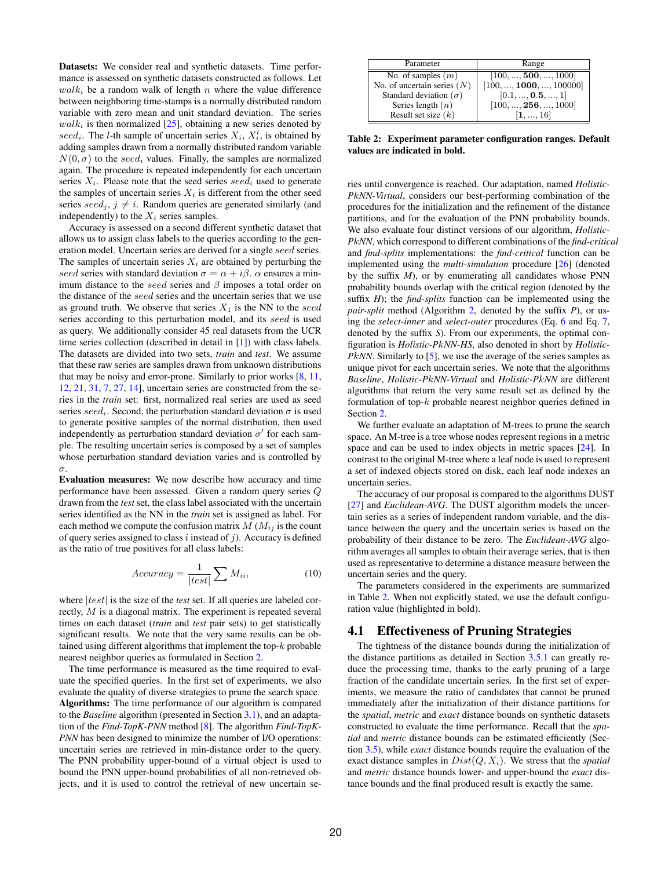Datasets: We consider real and synthetic datasets. Time performance is assessed on synthetic datasets constructed as follows. Let  $walk<sub>i</sub>$  be a random walk of length n where the value difference between neighboring time-stamps is a normally distributed random variable with zero mean and unit standard deviation. The series  $walk<sub>i</sub>$  is then normalized [25], obtaining a new series denoted by seed<sub>i</sub>. The *l*-th sample of uncertain series  $X_i$ ,  $X_i^l$ , is obtained by adding samples drawn from a normally distributed random variable  $N(0, \sigma)$  to the seed<sub>i</sub> values. Finally, the samples are normalized again. The procedure is repeated independently for each uncertain series  $X_i$ . Please note that the seed series seed<sub>i</sub> used to generate the samples of uncertain series  $X_i$  is different from the other seed series  $seed_i$ ,  $j \neq i$ . Random queries are generated similarly (and independently) to the  $X_i$  series samples.

Accuracy is assessed on a second different synthetic dataset that allows us to assign class labels to the queries according to the generation model. Uncertain series are derived for a single seed series. The samples of uncertain series  $X_i$  are obtained by perturbing the seed series with standard deviation  $\sigma = \alpha + i\beta$ .  $\alpha$  ensures a minimum distance to the seed series and  $\beta$  imposes a total order on the distance of the seed series and the uncertain series that we use as ground truth. We observe that series  $X_1$  is the NN to the seed series according to this perturbation model, and its seed is used as query. We additionally consider 45 real datasets from the UCR time series collection (described in detail in [1]) with class labels. The datasets are divided into two sets, *train* and *test*. We assume that these raw series are samples drawn from unknown distributions that may be noisy and error-prone. Similarly to prior works [8, 11, 12, 21, 31, 7, 27, 14], uncertain series are constructed from the series in the *train* set: first, normalized real series are used as seed series seed<sub>i</sub>. Second, the perturbation standard deviation  $\sigma$  is used to generate positive samples of the normal distribution, then used independently as perturbation standard deviation  $\sigma'$  for each sample. The resulting uncertain series is composed by a set of samples whose perturbation standard deviation varies and is controlled by σ.

Evaluation measures: We now describe how accuracy and time performance have been assessed. Given a random query series Q drawn from the *test* set, the class label associated with the uncertain series identified as the NN in the *train* set is assigned as label. For each method we compute the confusion matrix  $M$  ( $M_{ij}$  is the count of query series assigned to class  $i$  instead of  $j$ ). Accuracy is defined as the ratio of true positives for all class labels:

$$
Accuracy = \frac{1}{|test|} \sum M_{ii},
$$
 (10)

where  $|test|$  is the size of the *test* set. If all queries are labeled correctly, M is a diagonal matrix. The experiment is repeated several times on each dataset (*train* and *test* pair sets) to get statistically significant results. We note that the very same results can be obtained using different algorithms that implement the top-k probable nearest neighbor queries as formulated in Section 2.

The time performance is measured as the time required to evaluate the specified queries. In the first set of experiments, we also evaluate the quality of diverse strategies to prune the search space. Algorithms: The time performance of our algorithm is compared to the *Baseline* algorithm (presented in Section 3.1), and an adaptation of the *Find-TopK-PNN* method [8]. The algorithm *Find-TopK-PNN* has been designed to minimize the number of I/O operations: uncertain series are retrieved in min-distance order to the query. The PNN probability upper-bound of a virtual object is used to bound the PNN upper-bound probabilities of all non-retrieved objects, and it is used to control the retrieval of new uncertain se-

| Parameter                       | Range                              |
|---------------------------------|------------------------------------|
| No. of samples $(m)$            | $[100, \ldots, 500, \ldots, 1000]$ |
| No. of uncertain series $(N)$   | [100, , 1000, , 100000]            |
| Standard deviation ( $\sigma$ ) | [0.1, , 0.5, , 1]                  |
| Series length $(n)$             | [100, , 256, , 1000]               |
| Result set size $(k)$           | $\left[1, , 16\right]$             |

Table 2: Experiment parameter configuration ranges. Default values are indicated in bold.

ries until convergence is reached. Our adaptation, named *Holistic-P*k*NN-Virtual*, considers our best-performing combination of the procedures for the initialization and the refinement of the distance partitions, and for the evaluation of the PNN probability bounds. We also evaluate four distinct versions of our algorithm, *Holistic-P*k*NN*, which correspond to different combinations of the *find-critical* and *find-splits* implementations: the *find-critical* function can be implemented using the *multi-simulation* procedure [26] (denoted by the suffix *M*), or by enumerating all candidates whose PNN probability bounds overlap with the critical region (denoted by the suffix *H*); the *find-splits* function can be implemented using the *pair-split* method (Algorithm 2, denoted by the suffix *P*), or using the *select-inner* and *select-outer* procedures (Eq. 6 and Eq. 7, denoted by the suffix *S*). From our experiments, the optimal configuration is *Holistic-P*k*NN-HS*, also denoted in short by *Holistic-PkNN*. Similarly to [5], we use the average of the series samples as unique pivot for each uncertain series. We note that the algorithms *Baseline*, *Holistic-P*k*NN-Virtual* and *Holistic-P*k*NN* are different algorithms that return the very same result set as defined by the formulation of top-k probable nearest neighbor queries defined in Section 2.

We further evaluate an adaptation of M-trees to prune the search space. An M-tree is a tree whose nodes represent regions in a metric space and can be used to index objects in metric spaces [24]. In contrast to the original M-tree where a leaf node is used to represent a set of indexed objects stored on disk, each leaf node indexes an uncertain series.

The accuracy of our proposal is compared to the algorithms DUST [27] and *Euclidean-AVG*. The DUST algorithm models the uncertain series as a series of independent random variable, and the distance between the query and the uncertain series is based on the probability of their distance to be zero. The *Euclidean-AVG* algorithm averages all samples to obtain their average series, that is then used as representative to determine a distance measure between the uncertain series and the query.

The parameters considered in the experiments are summarized in Table 2. When not explicitly stated, we use the default configuration value (highlighted in bold).

## 4.1 Effectiveness of Pruning Strategies

The tightness of the distance bounds during the initialization of the distance partitions as detailed in Section 3.5.1 can greatly reduce the processing time, thanks to the early pruning of a large fraction of the candidate uncertain series. In the first set of experiments, we measure the ratio of candidates that cannot be pruned immediately after the initialization of their distance partitions for the *spatial*, *metric* and *exact* distance bounds on synthetic datasets constructed to evaluate the time performance. Recall that the *spatial* and *metric* distance bounds can be estimated efficiently (Section 3.5), while *exact* distance bounds require the evaluation of the exact distance samples in  $Dist(Q, X_i)$ . We stress that the *spatial* and *metric* distance bounds lower- and upper-bound the *exact* distance bounds and the final produced result is exactly the same.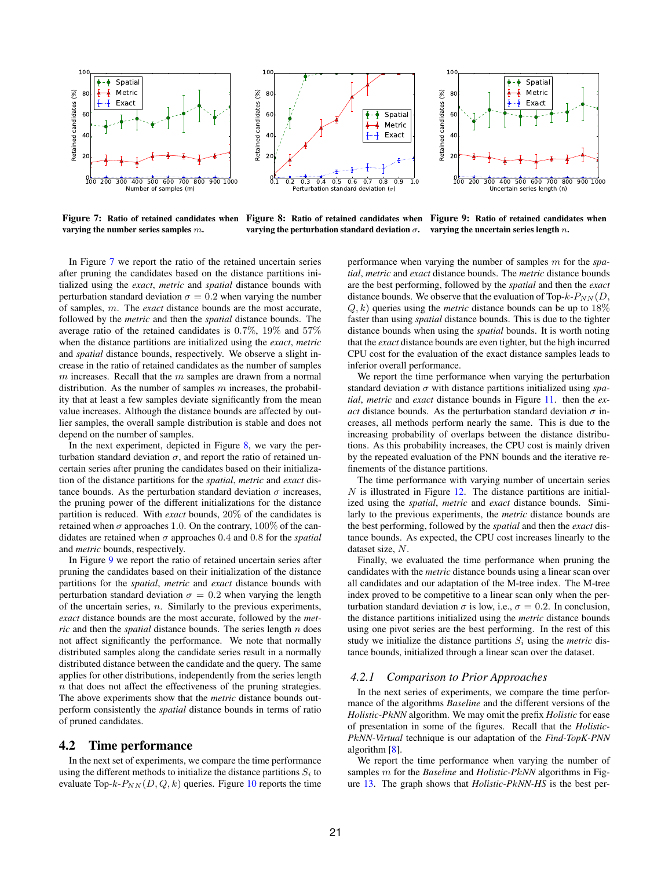

Figure 7: Ratio of retained candidates when varying the number series samples m.

Figure 8: Ratio of retained candidates when Figure 9: Ratio of retained candidates when varying the perturbation standard deviation  $\sigma$ . varying the uncertain series length  $n$ .

In Figure 7 we report the ratio of the retained uncertain series after pruning the candidates based on the distance partitions initialized using the *exact*, *metric* and *spatial* distance bounds with perturbation standard deviation  $\sigma = 0.2$  when varying the number of samples, m. The *exact* distance bounds are the most accurate, followed by the *metric* and then the *spatial* distance bounds. The average ratio of the retained candidates is 0.7%, 19% and 57% when the distance partitions are initialized using the *exact*, *metric* and *spatial* distance bounds, respectively. We observe a slight increase in the ratio of retained candidates as the number of samples  $m$  increases. Recall that the  $m$  samples are drawn from a normal distribution. As the number of samples  $m$  increases, the probability that at least a few samples deviate significantly from the mean value increases. Although the distance bounds are affected by outlier samples, the overall sample distribution is stable and does not depend on the number of samples.

In the next experiment, depicted in Figure 8, we vary the perturbation standard deviation  $\sigma$ , and report the ratio of retained uncertain series after pruning the candidates based on their initialization of the distance partitions for the *spatial*, *metric* and *exact* distance bounds. As the perturbation standard deviation  $\sigma$  increases, the pruning power of the different initializations for the distance partition is reduced. With *exact* bounds, 20% of the candidates is retained when  $\sigma$  approaches 1.0. On the contrary, 100% of the candidates are retained when σ approaches 0.4 and 0.8 for the *spatial* and *metric* bounds, respectively.

In Figure 9 we report the ratio of retained uncertain series after pruning the candidates based on their initialization of the distance partitions for the *spatial*, *metric* and *exact* distance bounds with perturbation standard deviation  $\sigma = 0.2$  when varying the length of the uncertain series,  $n$ . Similarly to the previous experiments, *exact* distance bounds are the most accurate, followed by the *metric* and then the *spatial* distance bounds. The series length n does not affect significantly the performance. We note that normally distributed samples along the candidate series result in a normally distributed distance between the candidate and the query. The same applies for other distributions, independently from the series length  $n$  that does not affect the effectiveness of the pruning strategies. The above experiments show that the *metric* distance bounds outperform consistently the *spatial* distance bounds in terms of ratio of pruned candidates.

## 4.2 Time performance

In the next set of experiments, we compare the time performance using the different methods to initialize the distance partitions  $S_i$  to evaluate Top- $k$ - $P_{NN}(D, Q, k)$  queries. Figure 10 reports the time

performance when varying the number of samples m for the *spatial*, *metric* and *exact* distance bounds. The *metric* distance bounds are the best performing, followed by the *spatial* and then the *exact* distance bounds. We observe that the evaluation of Top- $k$ - $P_{NN}(D)$ ,  $Q, k$ ) queries using the *metric* distance bounds can be up to 18% faster than using *spatial* distance bounds. This is due to the tighter distance bounds when using the *spatial* bounds. It is worth noting that the *exact* distance bounds are even tighter, but the high incurred CPU cost for the evaluation of the exact distance samples leads to inferior overall performance.

We report the time performance when varying the perturbation standard deviation σ with distance partitions initialized using *spatial*, *metric* and *exact* distance bounds in Figure 11. then the *exact* distance bounds. As the perturbation standard deviation  $\sigma$  increases, all methods perform nearly the same. This is due to the increasing probability of overlaps between the distance distributions. As this probability increases, the CPU cost is mainly driven by the repeated evaluation of the PNN bounds and the iterative refinements of the distance partitions.

The time performance with varying number of uncertain series  $N$  is illustrated in Figure 12. The distance partitions are initialized using the *spatial*, *metric* and *exact* distance bounds. Similarly to the previous experiments, the *metric* distance bounds are the best performing, followed by the *spatial* and then the *exact* distance bounds. As expected, the CPU cost increases linearly to the dataset size, N.

Finally, we evaluated the time performance when pruning the candidates with the *metric* distance bounds using a linear scan over all candidates and our adaptation of the M-tree index. The M-tree index proved to be competitive to a linear scan only when the perturbation standard deviation  $\sigma$  is low, i.e.,  $\sigma = 0.2$ . In conclusion, the distance partitions initialized using the *metric* distance bounds using one pivot series are the best performing. In the rest of this study we initialize the distance partitions  $S_i$  using the *metric* distance bounds, initialized through a linear scan over the dataset.

#### *4.2.1 Comparison to Prior Approaches*

In the next series of experiments, we compare the time performance of the algorithms *Baseline* and the different versions of the *Holistic-P*k*NN* algorithm. We may omit the prefix *Holistic* for ease of presentation in some of the figures. Recall that the *Holistic-P*k*NN-Virtual* technique is our adaptation of the *Find-TopK-PNN* algorithm [8].

We report the time performance when varying the number of samples m for the *Baseline* and *Holistic-P*k*NN* algorithms in Figure 13. The graph shows that *Holistic-P*k*NN-HS* is the best per-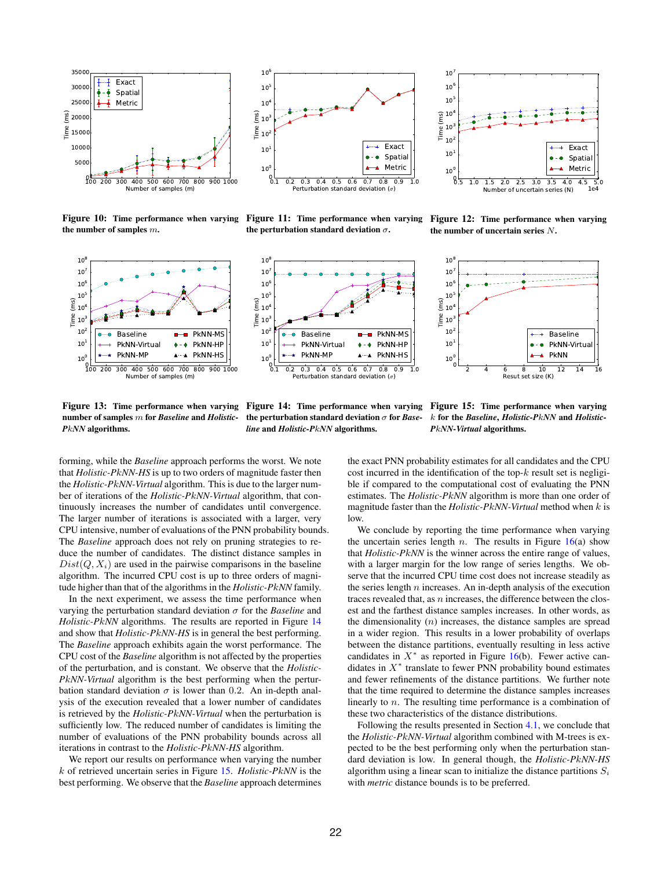

Figure 10: Time performance when varying Figure 11: Time performance when varying the number of samples m.



the perturbation standard deviation  $\sigma$ .



Figure 12: Time performance when varying the number of uncertain series N.







Figure 13: Time performance when varying number of samples m for *Baseline* and *Holistic-P*k*NN* algorithms.

Figure 14: Time performance when varying the perturbation standard deviation σ for *Baseline* and *Holistic-P*k*NN* algorithms.

Figure 15: Time performance when varying k for the *Baseline*, *Holistic-P*k*NN* and *Holistic-P*k*NN-Virtual* algorithms.

forming, while the *Baseline* approach performs the worst. We note that *Holistic-P*k*NN-HS* is up to two orders of magnitude faster then the *Holistic-P*k*NN-Virtual* algorithm. This is due to the larger number of iterations of the *Holistic-P*k*NN-Virtual* algorithm, that continuously increases the number of candidates until convergence. The larger number of iterations is associated with a larger, very CPU intensive, number of evaluations of the PNN probability bounds. The *Baseline* approach does not rely on pruning strategies to reduce the number of candidates. The distinct distance samples in  $Dist(Q, X_i)$  are used in the pairwise comparisons in the baseline algorithm. The incurred CPU cost is up to three orders of magnitude higher than that of the algorithms in the *Holistic-P*k*NN* family.

In the next experiment, we assess the time performance when varying the perturbation standard deviation σ for the *Baseline* and *Holistic-P*k*NN* algorithms. The results are reported in Figure 14 and show that *Holistic-P*k*NN-HS* is in general the best performing. The *Baseline* approach exhibits again the worst performance. The CPU cost of the *Baseline* algorithm is not affected by the properties of the perturbation, and is constant. We observe that the *Holistic-P*k*NN-Virtual* algorithm is the best performing when the perturbation standard deviation  $\sigma$  is lower than 0.2. An in-depth analysis of the execution revealed that a lower number of candidates is retrieved by the *Holistic-P*k*NN-Virtual* when the perturbation is sufficiently low. The reduced number of candidates is limiting the number of evaluations of the PNN probability bounds across all iterations in contrast to the *Holistic-P*k*NN-HS* algorithm.

We report our results on performance when varying the number k of retrieved uncertain series in Figure 15. *Holistic-P*k*NN* is the best performing. We observe that the *Baseline* approach determines

the exact PNN probability estimates for all candidates and the CPU cost incurred in the identification of the top- $k$  result set is negligible if compared to the computational cost of evaluating the PNN estimates. The *Holistic-P*k*NN* algorithm is more than one order of magnitude faster than the *Holistic-P*k*NN-Virtual* method when k is low.

We conclude by reporting the time performance when varying the uncertain series length n. The results in Figure  $16(a)$  show that *Holistic-P*k*NN* is the winner across the entire range of values, with a larger margin for the low range of series lengths. We observe that the incurred CPU time cost does not increase steadily as the series length  $n$  increases. An in-depth analysis of the execution traces revealed that, as  $n$  increases, the difference between the closest and the farthest distance samples increases. In other words, as the dimensionality  $(n)$  increases, the distance samples are spread in a wider region. This results in a lower probability of overlaps between the distance partitions, eventually resulting in less active candidates in  $X^*$  as reported in Figure 16(b). Fewer active candidates in  $X^*$  translate to fewer PNN probability bound estimates and fewer refinements of the distance partitions. We further note that the time required to determine the distance samples increases linearly to n. The resulting time performance is a combination of these two characteristics of the distance distributions.

Following the results presented in Section 4.1, we conclude that the *Holistic-P*k*NN-Virtual* algorithm combined with M-trees is expected to be the best performing only when the perturbation standard deviation is low. In general though, the *Holistic-P*k*NN-HS* algorithm using a linear scan to initialize the distance partitions  $S_i$ with *metric* distance bounds is to be preferred.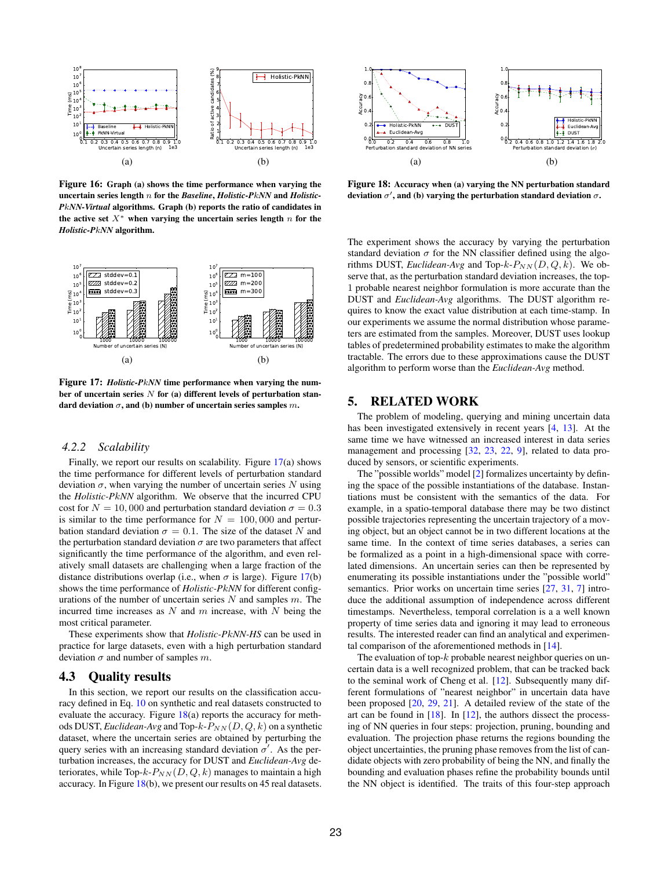

Figure 16: Graph (a) shows the time performance when varying the uncertain series length n for the *Baseline*, *Holistic-P*k*NN* and *Holistic-P*k*NN-Virtual* algorithms. Graph (b) reports the ratio of candidates in the active set  $X^*$  when varying the uncertain series length  $n$  for the *Holistic-P*k*NN* algorithm.



Figure 17: *Holistic-P*k*NN* time performance when varying the number of uncertain series  $N$  for (a) different levels of perturbation standard deviation  $\sigma$ , and (b) number of uncertain series samples  $m$ .

# *4.2.2 Scalability*

Finally, we report our results on scalability. Figure 17(a) shows the time performance for different levels of perturbation standard deviation  $\sigma$ , when varying the number of uncertain series  $N$  using the *Holistic-P*k*NN* algorithm. We observe that the incurred CPU cost for  $N = 10,000$  and perturbation standard deviation  $\sigma = 0.3$ is similar to the time performance for  $N = 100,000$  and perturbation standard deviation  $\sigma = 0.1$ . The size of the dataset N and the perturbation standard deviation  $\sigma$  are two parameters that affect significantly the time performance of the algorithm, and even relatively small datasets are challenging when a large fraction of the distance distributions overlap (i.e., when  $\sigma$  is large). Figure 17(b) shows the time performance of *Holistic-P*k*NN* for different configurations of the number of uncertain series  $N$  and samples  $m$ . The incurred time increases as  $N$  and  $m$  increase, with  $N$  being the most critical parameter.

These experiments show that *Holistic-P*k*NN-HS* can be used in practice for large datasets, even with a high perturbation standard deviation  $\sigma$  and number of samples m.

### 4.3 Quality results

In this section, we report our results on the classification accuracy defined in Eq. 10 on synthetic and real datasets constructed to evaluate the accuracy. Figure  $18(a)$  reports the accuracy for methods DUST, *Euclidean-Avg* and Top- $k-P_{NN}(D, Q, k)$  on a synthetic dataset, where the uncertain series are obtained by perturbing the query series with an increasing standard deviation  $\sigma'$ . As the perturbation increases, the accuracy for DUST and *Euclidean-Avg* deteriorates, while Top- $k-P_{NN}(D, Q, k)$  manages to maintain a high accuracy. In Figure 18(b), we present our results on 45 real datasets.



Figure 18: Accuracy when (a) varying the NN perturbation standard deviation  $\sigma'$ , and (b) varying the perturbation standard deviation  $\sigma$ .

The experiment shows the accuracy by varying the perturbation standard deviation  $\sigma$  for the NN classifier defined using the algorithms DUST, *Euclidean-Avg* and Top- $k$ - $P_{NN}(D, Q, k)$ . We observe that, as the perturbation standard deviation increases, the top-1 probable nearest neighbor formulation is more accurate than the DUST and *Euclidean-Avg* algorithms. The DUST algorithm requires to know the exact value distribution at each time-stamp. In our experiments we assume the normal distribution whose parameters are estimated from the samples. Moreover, DUST uses lookup tables of predetermined probability estimates to make the algorithm tractable. The errors due to these approximations cause the DUST algorithm to perform worse than the *Euclidean-Avg* method.

# 5. RELATED WORK

The problem of modeling, querying and mining uncertain data has been investigated extensively in recent years [4, 13]. At the same time we have witnessed an increased interest in data series management and processing [32, 23, 22, 9], related to data produced by sensors, or scientific experiments.

The "possible worlds" model [2] formalizes uncertainty by defining the space of the possible instantiations of the database. Instantiations must be consistent with the semantics of the data. For example, in a spatio-temporal database there may be two distinct possible trajectories representing the uncertain trajectory of a moving object, but an object cannot be in two different locations at the same time. In the context of time series databases, a series can be formalized as a point in a high-dimensional space with correlated dimensions. An uncertain series can then be represented by enumerating its possible instantiations under the "possible world" semantics. Prior works on uncertain time series [27, 31, 7] introduce the additional assumption of independence across different timestamps. Nevertheless, temporal correlation is a a well known property of time series data and ignoring it may lead to erroneous results. The interested reader can find an analytical and experimental comparison of the aforementioned methods in [14].

The evaluation of top- $k$  probable nearest neighbor queries on uncertain data is a well recognized problem, that can be tracked back to the seminal work of Cheng et al. [12]. Subsequently many different formulations of "nearest neighbor" in uncertain data have been proposed [20, 29, 21]. A detailed review of the state of the art can be found in  $[18]$ . In  $[12]$ , the authors dissect the processing of NN queries in four steps: projection, pruning, bounding and evaluation. The projection phase returns the regions bounding the object uncertainties, the pruning phase removes from the list of candidate objects with zero probability of being the NN, and finally the bounding and evaluation phases refine the probability bounds until the NN object is identified. The traits of this four-step approach